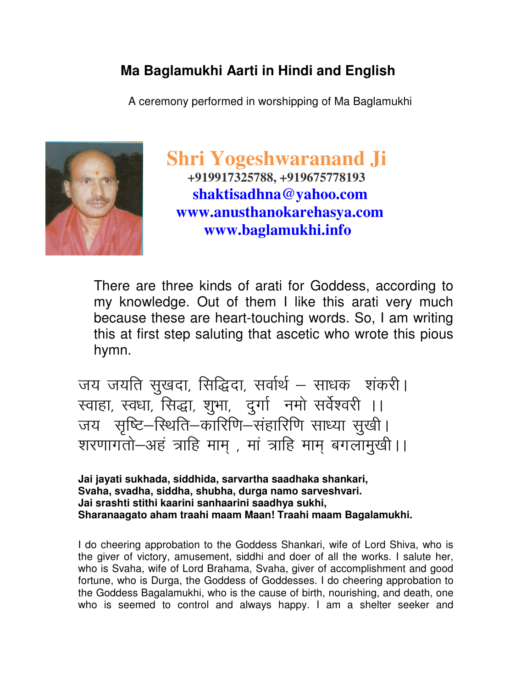## **Ma Baglamukhi Aarti in Hindi and English**

A ceremony performed in worshipping of Ma Baglamukhi



 **Shri Yogeshwaranand Ji +919917325788, +919675778193 shaktisadhna@yahoo.com www.anusthanokarehasya.com www.baglamukhi.info** 

There are three kinds of arati for Goddess, according to my knowledge. Out of them I like this arati very much because these are heart-touching words. So, I am writing this at first step saluting that ascetic who wrote this pious hymn.

जय जयति सुखदा, सिद्धिदा, सर्वार्थ – साधक शंकरी। रवाहा, स्वधा, सिद्धा, शुभा, दुर्गा नमो सर्वेश्वरी ।। जय सृष्टि–स्थिति–कारिणि–संहारिणि साध्या सुखी। शरणागतो-अहं त्राहि माम , मां त्राहि माम बगलामुखी।।

**Jai jayati sukhada, siddhida, sarvartha saadhaka shankari, Svaha, svadha, siddha, shubha, durga namo sarveshvari. Jai srashti stithi kaarini sanhaarini saadhya sukhi, Sharanaagato aham traahi maam Maan! Traahi maam Bagalamukhi.** 

I do cheering approbation to the Goddess Shankari, wife of Lord Shiva, who is the giver of victory, amusement, siddhi and doer of all the works. I salute her, who is Svaha, wife of Lord Brahama, Svaha, giver of accomplishment and good fortune, who is Durga, the Goddess of Goddesses. I do cheering approbation to the Goddess Bagalamukhi, who is the cause of birth, nourishing, and death, one who is seemed to control and always happy. I am a shelter seeker and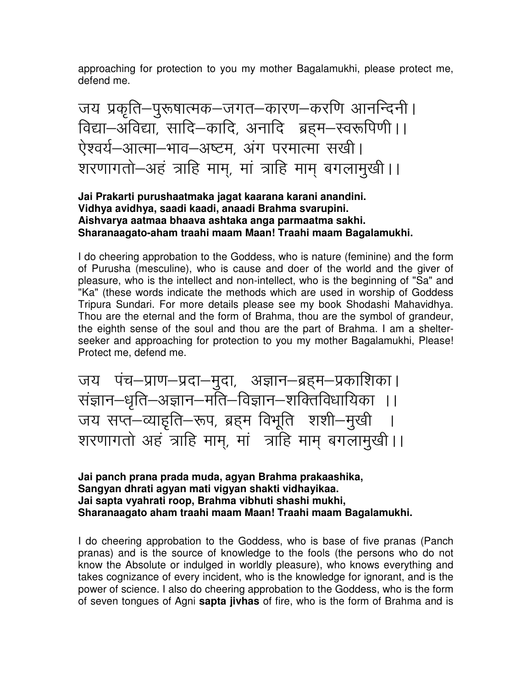approaching for protection to you my mother Bagalamukhi, please protect me, defend me.

जय प्रकृति–पुरूषात्मक–जगत–कारण–करणि आनन्दिनी। विद्या-अविद्या, सादि-कादि, अनादि ब्रहम-स्वरूपिणी ।। ऐश्वर्य-आत्मा-भाव-अष्टम, अंग परमात्मा सखी। शरणागतो-अहं त्राहि माम, मां त्राहि माम बगलामूखी।।

#### **Jai Prakarti purushaatmaka jagat kaarana karani anandini. Vidhya avidhya, saadi kaadi, anaadi Brahma svarupini. Aishvarya aatmaa bhaava ashtaka anga parmaatma sakhi. Sharanaagato-aham traahi maam Maan! Traahi maam Bagalamukhi.**

I do cheering approbation to the Goddess, who is nature (feminine) and the form of Purusha (mesculine), who is cause and doer of the world and the giver of pleasure, who is the intellect and non-intellect, who is the beginning of "Sa" and "Ka" (these words indicate the methods which are used in worship of Goddess Tripura Sundari. For more details please see my book Shodashi Mahavidhya. Thou are the eternal and the form of Brahma, thou are the symbol of grandeur, the eighth sense of the soul and thou are the part of Brahma. I am a shelterseeker and approaching for protection to you my mother Bagalamukhi, Please! Protect me, defend me.

जय पंच–प्राण–प्रदा–मुदा, अज्ञान–ब्रहम–प्रकाशिका। सज्ञान-धृति-अज्ञान-मति-विज्ञान-शक्तिविधायिका ।। जय सप्त–व्याइति–रूप, ब्रहम विभूति शशी–मुखी । शरणागतो अहं त्राहि माम्, मां त्राहि माम् बगलामुखी ।।

**Jai panch prana prada muda, agyan Brahma prakaashika, Sangyan dhrati agyan mati vigyan shakti vidhayikaa. Jai sapta vyahrati roop, Brahma vibhuti shashi mukhi, Sharanaagato aham traahi maam Maan! Traahi maam Bagalamukhi.** 

I do cheering approbation to the Goddess, who is base of five pranas (Panch pranas) and is the source of knowledge to the fools (the persons who do not know the Absolute or indulged in worldly pleasure), who knows everything and takes cognizance of every incident, who is the knowledge for ignorant, and is the power of science. I also do cheering approbation to the Goddess, who is the form of seven tongues of Agni **sapta jivhas** of fire, who is the form of Brahma and is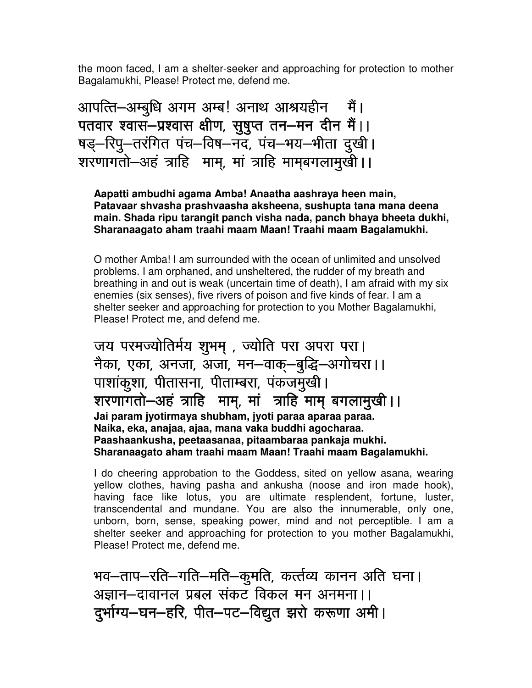the moon faced, I am a shelter-seeker and approaching for protection to mother Bagalamukhi, Please! Protect me, defend me.

आपत्ति—अम्बुधि अगम अम्ब! अनाथ आश्रयहीन मैं। पतवार श्वास-प्रश्वास क्षीण, सुषुप्त तन-मन दीन मैं।। षड़—रिपू—तरंगित पंच—विष—नद, पंच—भय—भीता दुखी। शरणागतो-अहं त्राहि माम्, मां त्राहि माम्बगलामुखी ।।

**Aapatti ambudhi agama Amba! Anaatha aashraya heen main, Patavaar shvasha prashvaasha aksheena, sushupta tana mana deena main. Shada ripu tarangit panch visha nada, panch bhaya bheeta dukhi, Sharanaagato aham traahi maam Maan! Traahi maam Bagalamukhi.** 

O mother Amba! I am surrounded with the ocean of unlimited and unsolved problems. I am orphaned, and unsheltered, the rudder of my breath and breathing in and out is weak (uncertain time of death), I am afraid with my six enemies (six senses), five rivers of poison and five kinds of fear. I am a shelter seeker and approaching for protection to you Mother Bagalamukhi, Please! Protect me, and defend me.

जय परमज्योतिर्मय शुभम् , ज्योति परा अपरा परा। नैका, एका, अनजा, अजा, मन–वाक्–बुद्धि–अगोचरा।। पाशांकूशा, पीतासना, पीताम्बरा, पंकजमुखी | शरणागतो-अहं त्राहि माम, मां त्राहि माम् बगलामुखी ।। **Jai param jyotirmaya shubham, jyoti paraa aparaa paraa. Naika, eka, anajaa, ajaa, mana vaka buddhi agocharaa. Paashaankusha, peetaasanaa, pitaambaraa pankaja mukhi. Sharanaagato aham traahi maam Maan! Traahi maam Bagalamukhi.** 

I do cheering approbation to the Goddess, sited on yellow asana, wearing yellow clothes, having pasha and ankusha (noose and iron made hook), having face like lotus, you are ultimate resplendent, fortune, luster, transcendental and mundane. You are also the innumerable, only one, unborn, born, sense, speaking power, mind and not perceptible. I am a shelter seeker and approaching for protection to you mother Bagalamukhi, Please! Protect me, defend me.

भव–ताप–रति–गति–मति–कूमति, कर्त्तव्य कानन अति घना। अज्ञान–दावानल प्रबल संकट विकल मन अनमना।। दुर्भाग्य-घन-हरि, पीत-पट-विद्युत झरो करूणा अमी।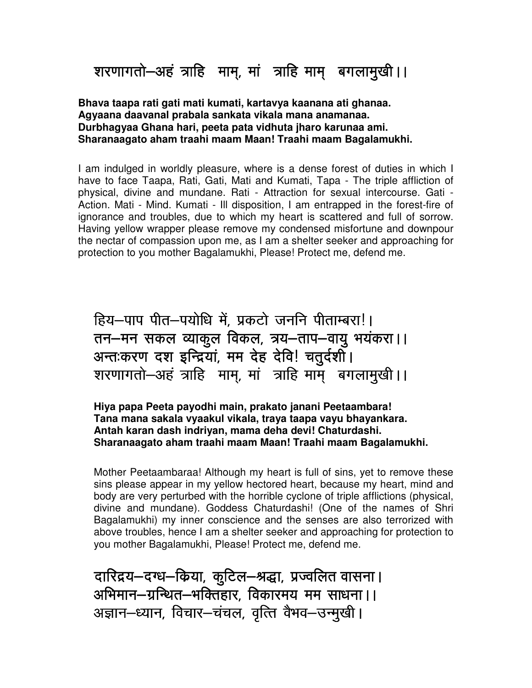# शरणागतो-अहं त्राहि माम्, मां त्राहि माम् बगलामुखी।।

**Bhava taapa rati gati mati kumati, kartavya kaanana ati ghanaa. Agyaana daavanal prabala sankata vikala mana anamanaa. Durbhagyaa Ghana hari, peeta pata vidhuta jharo karunaa ami. Sharanaagato aham traahi maam Maan! Traahi maam Bagalamukhi.** 

I am indulged in worldly pleasure, where is a dense forest of duties in which I have to face Taapa, Rati, Gati, Mati and Kumati, Tapa - The triple affliction of physical, divine and mundane. Rati - Attraction for sexual intercourse. Gati - Action. Mati - Mind. Kumati - Ill disposition, I am entrapped in the forest-fire of ignorance and troubles, due to which my heart is scattered and full of sorrow. Having yellow wrapper please remove my condensed misfortune and downpour the nectar of compassion upon me, as I am a shelter seeker and approaching for protection to you mother Bagalamukhi, Please! Protect me, defend me. ŗ

हिय-पाप पीत-पयोधि में, प्रकटो जननि पीताम्बरा!। तन-मन सकल व्याकूल विकल, त्रय-ताप-वायु भयंकरा।। अन्तःकरण दश इन्द्रियां, मम देह देवि! चतुर्दशी। शरणागतो-अहं त्राहि माम्, मां त्राहि माम् बगलामुखी ।।

**Hiya papa Peeta payodhi main, prakato janani Peetaambara! Tana mana sakala vyaakul vikala, traya taapa vayu bhayankara. Antah karan dash indriyan, mama deha devi! Chaturdashi. Sharanaagato aham traahi maam Maan! Traahi maam Bagalamukhi.** 

Mother Peetaambaraa! Although my heart is full of sins, yet to remove these sins please appear in my yellow hectored heart, because my heart, mind and body are very perturbed with the horrible cyclone of triple afflictions (physical, divine and mundane). Goddess Chaturdashi! (One of the names of Shri Bagalamukhi) my inner conscience and the senses are also terrorized with above troubles, hence I am a shelter seeker and approaching for protection to you mother Bagalamukhi, Please! Protect me, defend me.  $\overline{\phantom{a}}$ 

दारिद्रय–दग्ध–किया, कूटिल–श्रद्धा, प्रज्वलित वासना। अभिमान-ग्रन्थित-भक्तिहार, विकारमय मम साधना।। अज्ञान–ध्यान, विचार–चंचल, वृत्ति वैभव–उन्मूखी।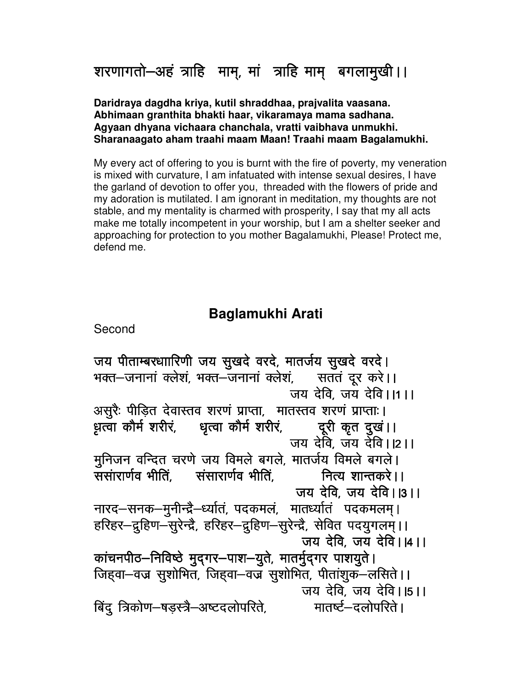शरणागतो-अहं त्राहि माम्, मां त्राहि माम् बगलामुखी।।

**Daridraya dagdha kriya, kutil shraddhaa, prajvalita vaasana. Abhimaan granthita bhakti haar, vikaramaya mama sadhana. Agyaan dhyana vichaara chanchala, vratti vaibhava unmukhi. Sharanaagato aham traahi maam Maan! Traahi maam Bagalamukhi.** 

My every act of offering to you is burnt with the fire of poverty, my veneration is mixed with curvature, I am infatuated with intense sexual desires, I have the garland of devotion to offer you, threaded with the flowers of pride and my adoration is mutilated. I am ignorant in meditation, my thoughts are not stable, and my mentality is charmed with prosperity, I say that my all acts make me totally incompetent in your worship, but I am a shelter seeker and approaching for protection to you mother Bagalamukhi, Please! Protect me, defend me. 

### **Baglamukhi Arati**

Second

जय पीताम्बरधाारिणी जय सुखदे वरदे, मातर्जय सुखदे वरदे। भक्त–जनानां क्लेशं, भक्त–जनानां क्लेशं, सततं दूर करे।। जय देवि. जय देवि।।1।। असुरैः पीडित देवास्तव शरणं प्राप्ता, मातस्तव शरणं प्राप्ताः। ध़त्वा कौर्म शरीर, धृत्वा कौर्म शरीर, ब्रूरी कृत दुखं।। जय देवि, जय देवि।।2।। मुनिजन वन्दित चरणे जय विमले बगले, मातर्जय विमले बगले। ्<br>संसारार्णव भीति संसारार्णव भीति नित्य शान्तकरे । । जय देवि जय देवि । ।३ । । नारद–सनक–मुनीन्द्रै–र्ध्यातं, पदकमलं, मातर्ध्यातं पदकमलम्। हरिहर-द्रुहिण-सुरेन्द्रै, हरिहर-द्रुहिण-सुरेन्द्रै, सेवित पदयुगलम् ।। जय देवि, जय देवि।।४।। कांचनपीठ-निविष्ठे मुद्गर-पाश-युते, मातर्मुद्गर पाशयुते। जिहवा-वज्र सुशोभित, जिहवा-वज्र सुशोभित, पीतांशुक-लसिते । । जय देवि, जय देवि।  $|5|$ । बिंदू त्रिकोण-षड़स्त्रै-अष्टदलोपरिते, व्यातर्ष्ट-दलोपरिते ।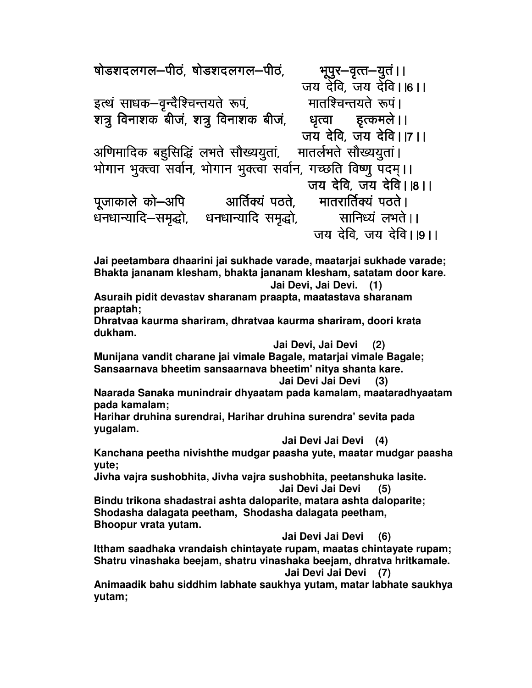षोडशदलगल–पीठं, षोडशदलगल–पीठं, भूपुर–वृत्त–युतं।। जय देवि, जय देवि।।6।।<br>- मातश्चिन्तयते रूपं। इत्थं साधक–वृन्दैश्चिन्तयते रूपं, मातश्चिन्तयते रूपं।<br>शत्रु विनाशक बीजं, शत्रु विनाशक बीजं, धृत्वा इत्कमले।। शत्र विनाशक बीजं, शत्र विनाशक बीजं, ्जय देवि, जय देवि।।7।।<br>मातर्लभते सौख्ययुतां। अणिमादिक बहुसिद्धिं लभते सौख्ययुतां, भोगान भूक्त्वा सर्वान, भोगान भूक्त्वा सर्वान, गच्छति विष्णू पदम्।। जय देवि, जय देवि।।8।।<br>मातरार्तिक्यं पठते। पूजाकाले को–अपि आर्तिक्यं पठते, , .<br>धनधान्यादि-समृद्धो, धनधान्यादि समृद्धो, सानिध्यं लभते ।। जय देवि. जय देवि। 19। 1

**Jai peetambara dhaarini jai sukhade varade, maatarjai sukhade varade; Bhakta jananam klesham, bhakta jananam klesham, satatam door kare. Jai Devi, Jai Devi. (1)** 

**Asuraih pidit devastav sharanam praapta, maatastava sharanam praaptah;** 

**Dhratvaa kaurma shariram, dhratvaa kaurma shariram, doori krata dukham.** 

 **Jai Devi, Jai Devi (2)** 

**Munijana vandit charane jai vimale Bagale, matarjai vimale Bagale; Sansaarnava bheetim sansaarnava bheetim' nitya shanta kare.** 

 **Jai Devi Jai Devi (3)** 

**Naarada Sanaka munindrair dhyaatam pada kamalam, maataradhyaatam pada kamalam;** 

**Harihar druhina surendrai, Harihar druhina surendra' sevita pada yugalam.** 

 **Jai Devi Jai Devi (4)** 

**Kanchana peetha nivishthe mudgar paasha yute, maatar mudgar paasha yute;** 

**Jivha vajra sushobhita, Jivha vajra sushobhita, peetanshuka lasite. Jai Devi Jai Devi (5)** 

**Bindu trikona shadastrai ashta daloparite, matara ashta daloparite; Shodasha dalagata peetham, Shodasha dalagata peetham, Bhoopur vrata yutam.** 

 **Jai Devi Jai Devi (6)** 

**Ittham saadhaka vrandaish chintayate rupam, maatas chintayate rupam; Shatru vinashaka beejam, shatru vinashaka beejam, dhratva hritkamale.** 

 **Jai Devi Jai Devi (7)** 

**Animaadik bahu siddhim labhate saukhya yutam, matar labhate saukhya yutam;**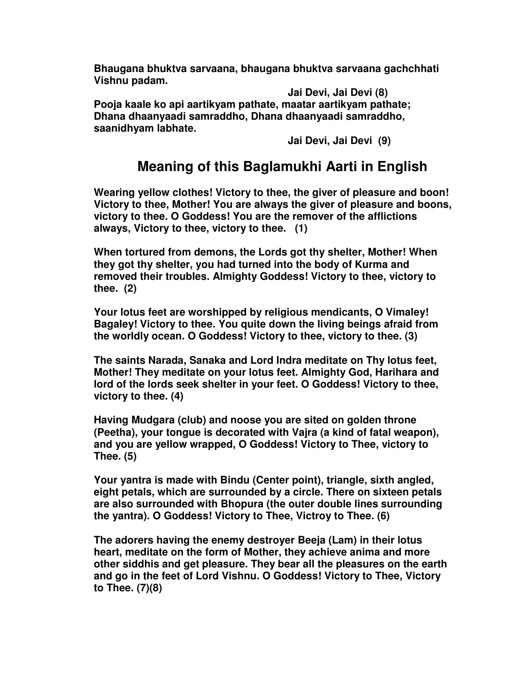**Bhaugana bhuktva sarvaana, bhaugana bhuktva sarvaana gachchhati Vishnu padam.** 

 **Jai Devi, Jai Devi (8) Pooja kaale ko api aartikyam pathate, maatar aartikyam pathate; Dhana dhaanyaadi samraddho, Dhana dhaanyaadi samraddho, saanidhyam labhate.** 

 **Jai Devi, Jai Devi (9)** 

### **Meaning of this Baglamukhi Aarti in English**

**Wearing yellow clothes! Victory to thee, the giver of pleasure and boon! Victory to thee, Mother! You are always the giver of pleasure and boons, victory to thee. O Goddess! You are the remover of the afflictions always, Victory to thee, victory to thee. (1)** 

**When tortured from demons, the Lords got thy shelter, Mother! When they got thy shelter, you had turned into the body of Kurma and removed their troubles. Almighty Goddess! Victory to thee, victory to thee. (2)** 

**Your lotus feet are worshipped by religious mendicants, O Vimaley! Bagaley! Victory to thee. You quite down the living beings afraid from the worldly ocean. O Goddess! Victory to thee, victory to thee. (3)** 

**The saints Narada, Sanaka and Lord Indra meditate on Thy lotus feet, Mother! They meditate on your lotus feet. Almighty God, Harihara and lord of the lords seek shelter in your feet. O Goddess! Victory to thee, victory to thee. (4)** 

**Having Mudgara (club) and noose you are sited on golden throne (Peetha), your tongue is decorated with Vajra (a kind of fatal weapon), and you are yellow wrapped, O Goddess! Victory to Thee, victory to Thee. (5)** 

**Your yantra is made with Bindu (Center point), triangle, sixth angled, eight petals, which are surrounded by a circle. There on sixteen petals are also surrounded with Bhopura (the outer double lines surrounding the yantra). O Goddess! Victory to Thee, Victroy to Thee. (6)** 

**The adorers having the enemy destroyer Beeja (Lam) in their lotus heart, meditate on the form of Mother, they achieve anima and more other siddhis and get pleasure. They bear all the pleasures on the earth and go in the feet of Lord Vishnu. O Goddess! Victory to Thee, Victory to Thee. (7)(8)**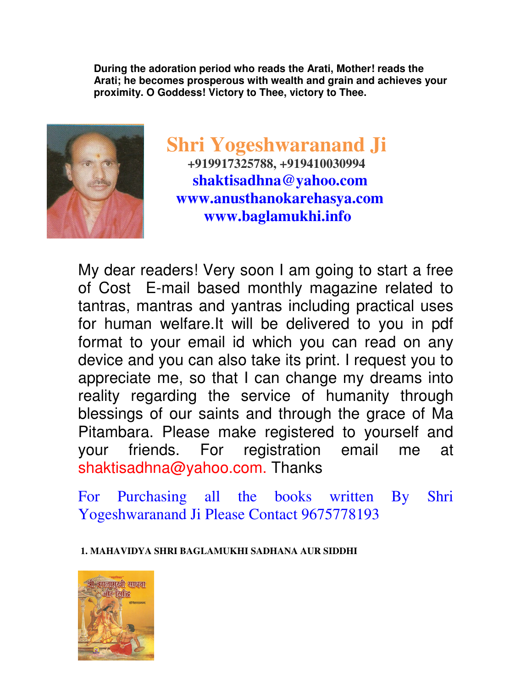**During the adoration period who reads the Arati, Mother! reads the Arati; he becomes prosperous with wealth and grain and achieves your proximity. O Goddess! Victory to Thee, victory to Thee.** 



 **Shri Yogeshwaranand Ji +919917325788, +919410030994 shaktisadhna@yahoo.com www.anusthanokarehasya.com www.baglamukhi.info** 

My dear readers! Very soon I am going to start a free of Cost E-mail based monthly magazine related to tantras, mantras and yantras including practical uses for human welfare.It will be delivered to you in pdf format to your email id which you can read on any device and you can also take its print. I request you to appreciate me, so that I can change my dreams into reality regarding the service of humanity through blessings of our saints and through the grace of Ma Pitambara. Please make registered to yourself and your friends. For registration email me at shaktisadhna@yahoo.com. Thanks

For Purchasing all the books written By Shri Yogeshwaranand Ji Please Contact 9675778193

 **1. MAHAVIDYA SHRI BAGLAMUKHI SADHANA AUR SIDDHI**